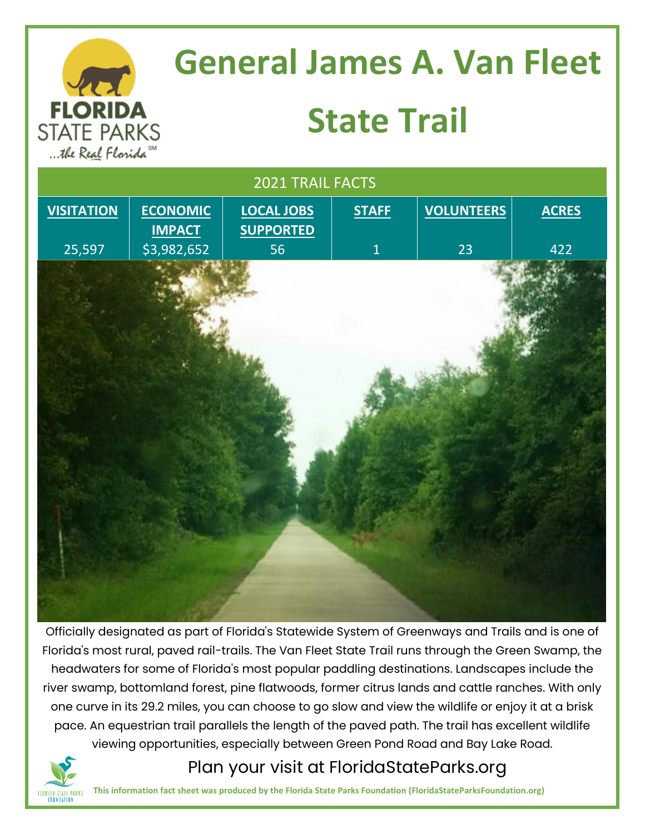

**FLORIDA STATE PARKS** 

# **General James A. Van Fleet State Trail**



Officially designated as part of Florida's Statewide System of Greenways and Trails and is one of Florida's most rural, paved rail-trails. The Van Fleet State Trail runs through the Green Swamp, the headwaters for some of Florida's most popular paddling destinations. Landscapes include the river swamp, bottomland forest, pine flatwoods, former citrus lands and cattle ranches. With only one curve in its 29.2 miles, you can choose to go slow and view the wildlife or enjoy it at a brisk pace. An equestrian trail parallels the length of the paved path. The trail has excellent wildlife viewing opportunities, especially between Green Pond Road and Bay Lake Road.

#### Plan your visit at FloridaStateParks.org

**This information fact sheet was produced by the Florida State Parks Foundation (FloridaStateParksFoundation.org)**